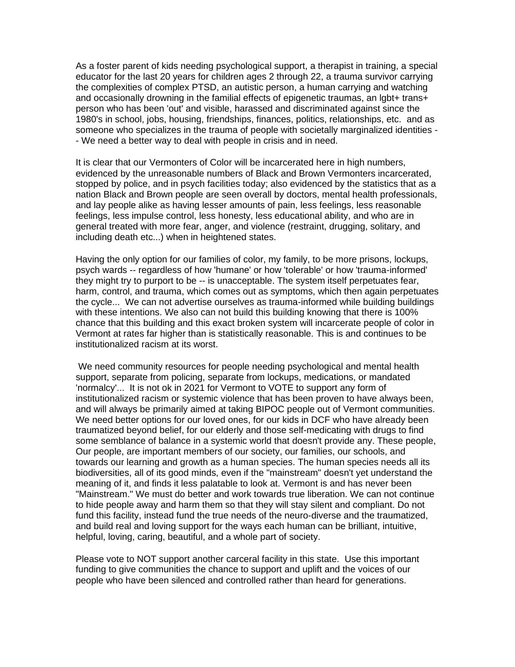As a foster parent of kids needing psychological support, a therapist in training, a special educator for the last 20 years for children ages 2 through 22, a trauma survivor carrying the complexities of complex PTSD, an autistic person, a human carrying and watching and occasionally drowning in the familial effects of epigenetic traumas, an lgbt+ trans+ person who has been 'out' and visible, harassed and discriminated against since the 1980's in school, jobs, housing, friendships, finances, politics, relationships, etc. and as someone who specializes in the trauma of people with societally marginalized identities - - We need a better way to deal with people in crisis and in need.

It is clear that our Vermonters of Color will be incarcerated here in high numbers, evidenced by the unreasonable numbers of Black and Brown Vermonters incarcerated, stopped by police, and in psych facilities today; also evidenced by the statistics that as a nation Black and Brown people are seen overall by doctors, mental health professionals, and lay people alike as having lesser amounts of pain, less feelings, less reasonable feelings, less impulse control, less honesty, less educational ability, and who are in general treated with more fear, anger, and violence (restraint, drugging, solitary, and including death etc...) when in heightened states.

Having the only option for our families of color, my family, to be more prisons, lockups, psych wards -- regardless of how 'humane' or how 'tolerable' or how 'trauma-informed' they might try to purport to be -- is unacceptable. The system itself perpetuates fear, harm, control, and trauma, which comes out as symptoms, which then again perpetuates the cycle... We can not advertise ourselves as trauma-informed while building buildings with these intentions. We also can not build this building knowing that there is 100% chance that this building and this exact broken system will incarcerate people of color in Vermont at rates far higher than is statistically reasonable. This is and continues to be institutionalized racism at its worst.

We need community resources for people needing psychological and mental health support, separate from policing, separate from lockups, medications, or mandated 'normalcy'... It is not ok in 2021 for Vermont to VOTE to support any form of institutionalized racism or systemic violence that has been proven to have always been, and will always be primarily aimed at taking BIPOC people out of Vermont communities. We need better options for our loved ones, for our kids in DCF who have already been traumatized beyond belief, for our elderly and those self-medicating with drugs to find some semblance of balance in a systemic world that doesn't provide any. These people, Our people, are important members of our society, our families, our schools, and towards our learning and growth as a human species. The human species needs all its biodiversities, all of its good minds, even if the "mainstream" doesn't yet understand the meaning of it, and finds it less palatable to look at. Vermont is and has never been "Mainstream." We must do better and work towards true liberation. We can not continue to hide people away and harm them so that they will stay silent and compliant. Do not fund this facility, instead fund the true needs of the neuro-diverse and the traumatized, and build real and loving support for the ways each human can be brilliant, intuitive, helpful, loving, caring, beautiful, and a whole part of society.

Please vote to NOT support another carceral facility in this state. Use this important funding to give communities the chance to support and uplift and the voices of our people who have been silenced and controlled rather than heard for generations.